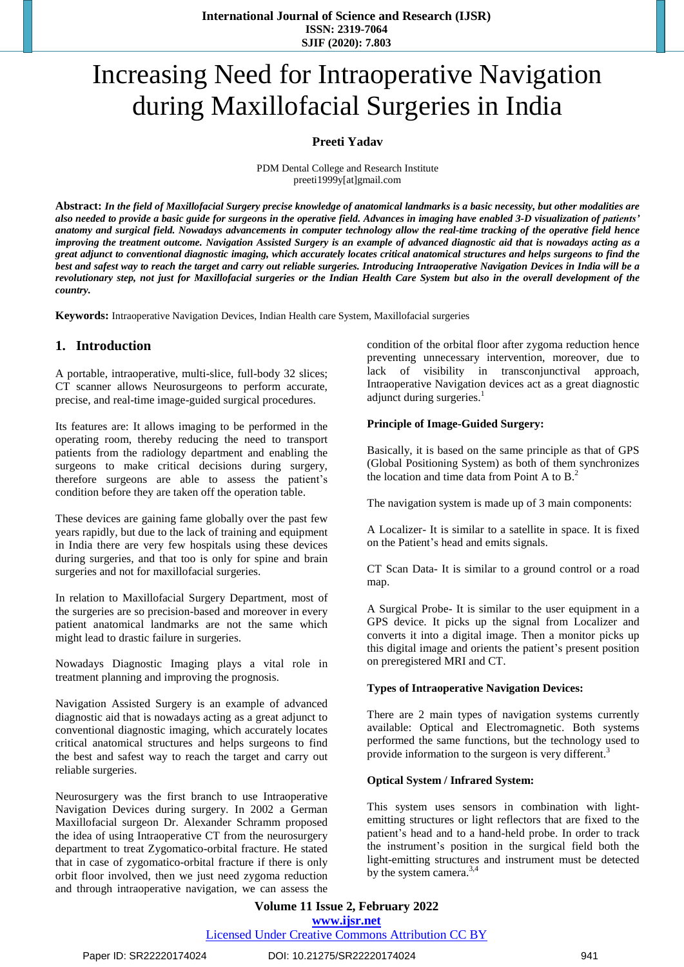# Increasing Need for Intraoperative Navigation during Maxillofacial Surgeries in India

#### **Preeti Yadav**

PDM Dental College and Research Institute preeti1999y[at]gmail.com

Abstract: In the field of Maxillofacial Surgery precise knowledge of anatomical landmarks is a basic necessity, but other modalities are also needed to provide a basic guide for surgeons in the operative field. Advances in imaging have enabled 3-D visualization of patients' anatomy and surgical field. Nowadays advancements in computer technology allow the real-time tracking of the operative field hence improving the treatment outcome. Navigation Assisted Surgery is an example of advanced diagnostic aid that is nowadays acting as a great adjunct to conventional diagnostic imaging, which accurately locates critical anatomical structures and helps surgeons to find the best and safest way to reach the target and carry out reliable surgeries. Introducing Intraoperative Navigation Devices in India will be a revolutionary step, not just for Maxillofacial surgeries or the Indian Health Care System but also in the overall development of the *country.*

**Keywords:** Intraoperative Navigation Devices, Indian Health care System, Maxillofacial surgeries

## **1. Introduction**

A portable, intraoperative, multi-slice, full-body 32 slices; CT scanner allows Neurosurgeons to perform accurate, precise, and real-time image-guided surgical procedures.

Its features are: It allows imaging to be performed in the operating room, thereby reducing the need to transport patients from the radiology department and enabling the surgeons to make critical decisions during surgery, therefore surgeons are able to assess the patient's condition before they are taken off the operation table.

These devices are gaining fame globally over the past few years rapidly, but due to the lack of training and equipment in India there are very few hospitals using these devices during surgeries, and that too is only for spine and brain surgeries and not for maxillofacial surgeries.

In relation to Maxillofacial Surgery Department, most of the surgeries are so precision-based and moreover in every patient anatomical landmarks are not the same which might lead to drastic failure in surgeries.

Nowadays Diagnostic Imaging plays a vital role in treatment planning and improving the prognosis.

Navigation Assisted Surgery is an example of advanced diagnostic aid that is nowadays acting as a great adjunct to conventional diagnostic imaging, which accurately locates critical anatomical structures and helps surgeons to find the best and safest way to reach the target and carry out reliable surgeries.

Neurosurgery was the first branch to use Intraoperative Navigation Devices during surgery. In 2002 a German Maxillofacial surgeon Dr. Alexander Schramm proposed the idea of using Intraoperative CT from the neurosurgery department to treat Zygomatico-orbital fracture. He stated that in case of zygomatico-orbital fracture if there is only orbit floor involved, then we just need zygoma reduction and through intraoperative navigation, we can assess the

condition of the orbital floor after zygoma reduction hence preventing unnecessary intervention, moreover, due to lack of visibility in transconjunctival approach, Intraoperative Navigation devices act as a great diagnostic adjunct during surgeries.<sup>1</sup>

#### **Principle of Image-Guided Surgery:**

Basically, it is based on the same principle as that of GPS (Global Positioning System) as both of them synchronizes the location and time data from Point A to B.<sup>2</sup>

The navigation system is made up of 3 main components:

A Localizer- It is similar to a satellite in space. It is fixed on the Patient's head and emits signals.

CT Scan Data- It is similar to a ground control or a road map.

A Surgical Probe- It is similar to the user equipment in a GPS device. It picks up the signal from Localizer and converts it into a digital image. Then a monitor picks up this digital image and orients the patient's present position on preregistered MRI and CT.

#### **Types of Intraoperative Navigation Devices:**

There are 2 main types of navigation systems currently available: Optical and Electromagnetic. Both systems performed the same functions, but the technology used to provide information to the surgeon is very different.<sup>3</sup>

#### **Optical System / Infrared System:**

This system uses sensors in combination with lightemitting structures or light reflectors that are fixed to the patient's head and to a hand-held probe. In order to track the instrument's position in the surgical field both the light-emitting structures and instrument must be detected by the system camera. $3,4$ 

## **Volume 11 Issue 2, February 2022 www.ijsr.net**

Licensed Under Creative Commons Attribution CC BY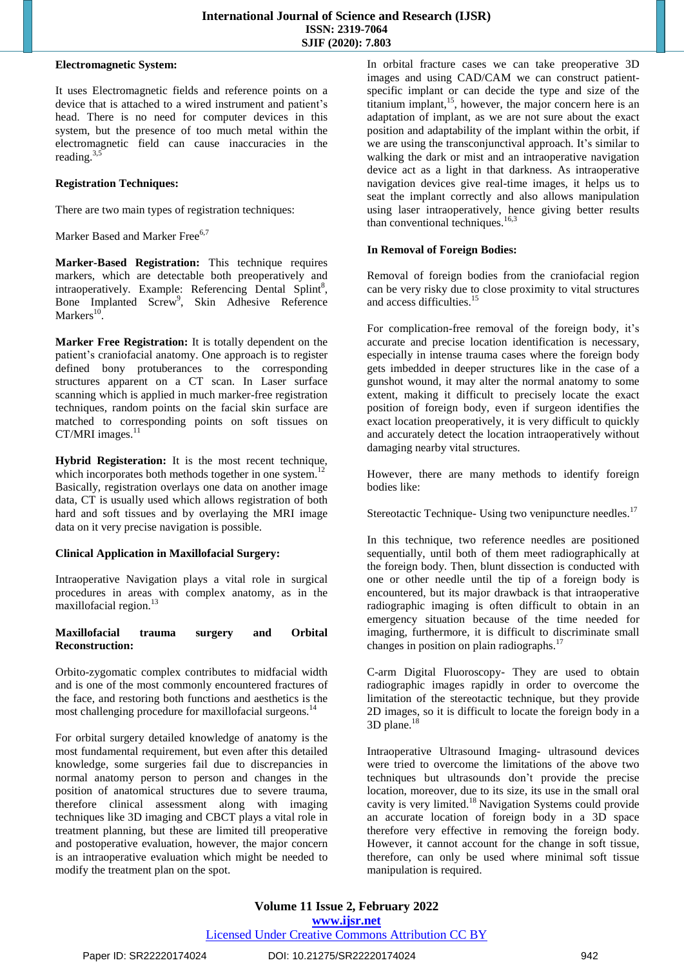#### **Electromagnetic System:**

It uses Electromagnetic fields and reference points on a device that is attached to a wired instrument and patient's head. There is no need for computer devices in this system, but the presence of too much metal within the electromagnetic field can cause inaccuracies in the reading. $3,5$ 

#### **Registration Techniques:**

There are two main types of registration techniques:

Marker Based and Marker Free<sup>6,7</sup>

**Marker-Based Registration:** This technique requires markers, which are detectable both preoperatively and intraoperatively. Example: Referencing Dental Splint<sup>8</sup>, Bone Implanted Screw<sup>9</sup>, Skin Adhesive Reference Markers $^{10}$ .

**Marker Free Registration:** It is totally dependent on the patient's craniofacial anatomy. One approach is to register defined bony protuberances to the corresponding structures apparent on a CT scan. In Laser surface scanning which is applied in much marker-free registration techniques, random points on the facial skin surface are matched to corresponding points on soft tissues on CT/MRI images.<sup>11</sup>

**Hybrid Registeration:** It is the most recent technique, which incorporates both methods together in one system.<sup>12</sup> Basically, registration overlays one data on another image data, CT is usually used which allows registration of both hard and soft tissues and by overlaying the MRI image data on it very precise navigation is possible.

## **Clinical Application in Maxillofacial Surgery:**

Intraoperative Navigation plays a vital role in surgical procedures in areas with complex anatomy, as in the maxillofacial region.<sup>13</sup>

#### **Maxillofacial trauma surgery and Orbital Reconstruction:**

Orbito-zygomatic complex contributes to midfacial width and is one of the most commonly encountered fractures of the face, and restoring both functions and aesthetics is the most challenging procedure for maxillofacial surgeons.<sup>14</sup>

For orbital surgery detailed knowledge of anatomy is the most fundamental requirement, but even after this detailed knowledge, some surgeries fail due to discrepancies in normal anatomy person to person and changes in the position of anatomical structures due to severe trauma, therefore clinical assessment along with imaging techniques like 3D imaging and CBCT plays a vital role in treatment planning, but these are limited till preoperative and postoperative evaluation, however, the major concern is an intraoperative evaluation which might be needed to modify the treatment plan on the spot.

In orbital fracture cases we can take preoperative 3D images and using CAD/CAM we can construct patientspecific implant or can decide the type and size of the titanium implant,<sup>15</sup>, however, the major concern here is an adaptation of implant, as we are not sure about the exact position and adaptability of the implant within the orbit, if we are using the transconjunctival approach. It's similar to walking the dark or mist and an intraoperative navigation device act as a light in that darkness. As intraoperative navigation devices give real-time images, it helps us to seat the implant correctly and also allows manipulation using laser intraoperatively, hence giving better results than conventional techniques. $16,3$ 

#### **In Removal of Foreign Bodies:**

Removal of foreign bodies from the craniofacial region can be very risky due to close proximity to vital structures and access difficulties.<sup>15</sup>

For complication-free removal of the foreign body, it's accurate and precise location identification is necessary, especially in intense trauma cases where the foreign body gets imbedded in deeper structures like in the case of a gunshot wound, it may alter the normal anatomy to some extent, making it difficult to precisely locate the exact position of foreign body, even if surgeon identifies the exact location preoperatively, it is very difficult to quickly and accurately detect the location intraoperatively without damaging nearby vital structures.

However, there are many methods to identify foreign bodies like:

Stereotactic Technique- Using two venipuncture needles.<sup>17</sup>

In this technique, two reference needles are positioned sequentially, until both of them meet radiographically at the foreign body. Then, blunt dissection is conducted with one or other needle until the tip of a foreign body is encountered, but its major drawback is that intraoperative radiographic imaging is often difficult to obtain in an emergency situation because of the time needed for imaging, furthermore, it is difficult to discriminate small changes in position on plain radiographs.<sup>17</sup>

C-arm Digital Fluoroscopy- They are used to obtain radiographic images rapidly in order to overcome the limitation of the stereotactic technique, but they provide 2D images, so it is difficult to locate the foreign body in a 3D plane.<sup>18</sup>

Intraoperative Ultrasound Imaging- ultrasound devices were tried to overcome the limitations of the above two techniques but ultrasounds don't provide the precise location, moreover, due to its size, its use in the small oral cavity is very limited.<sup>18</sup> Navigation Systems could provide an accurate location of foreign body in a 3D space therefore very effective in removing the foreign body. However, it cannot account for the change in soft tissue, therefore, can only be used where minimal soft tissue manipulation is required.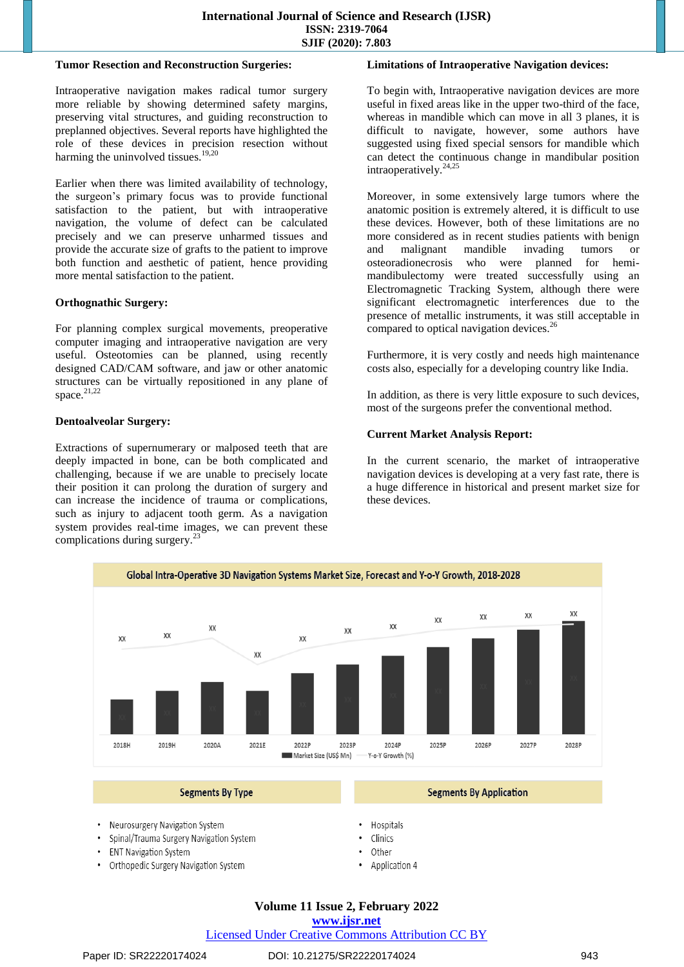#### **Tumor Resection and Reconstruction Surgeries:**

Intraoperative navigation makes radical tumor surgery more reliable by showing determined safety margins, preserving vital structures, and guiding reconstruction to preplanned objectives. Several reports have highlighted the role of these devices in precision resection without harming the uninvolved tissues.<sup>19,20</sup>

Earlier when there was limited availability of technology, the surgeon's primary focus was to provide functional satisfaction to the patient, but with intraoperative navigation, the volume of defect can be calculated precisely and we can preserve unharmed tissues and provide the accurate size of grafts to the patient to improve both function and aesthetic of patient, hence providing more mental satisfaction to the patient.

#### **Orthognathic Surgery:**

For planning complex surgical movements, preoperative computer imaging and intraoperative navigation are very useful. Osteotomies can be planned, using recently designed CAD/CAM software, and jaw or other anatomic structures can be virtually repositioned in any plane of space. $21,22$ 

#### **Dentoalveolar Surgery:**

Extractions of supernumerary or malposed teeth that are deeply impacted in bone, can be both complicated and challenging, because if we are unable to precisely locate their position it can prolong the duration of surgery and can increase the incidence of trauma or complications, such as injury to adjacent tooth germ. As a navigation system provides real-time images, we can prevent these complications during surgery.<sup>23</sup>

#### **Limitations of Intraoperative Navigation devices:**

To begin with, Intraoperative navigation devices are more useful in fixed areas like in the upper two-third of the face, whereas in mandible which can move in all 3 planes, it is difficult to navigate, however, some authors have suggested using fixed special sensors for mandible which can detect the continuous change in mandibular position intraoperatively.<sup>24,25</sup>

Moreover, in some extensively large tumors where the anatomic position is extremely altered, it is difficult to use these devices. However, both of these limitations are no more considered as in recent studies patients with benign and malignant mandible invading tumors or osteoradionecrosis who were planned for hemimandibulectomy were treated successfully using an Electromagnetic Tracking System, although there were significant electromagnetic interferences due to the presence of metallic instruments, it was still acceptable in compared to optical navigation devices.<sup>2</sup>

Furthermore, it is very costly and needs high maintenance costs also, especially for a developing country like India.

In addition, as there is very little exposure to such devices, most of the surgeons prefer the conventional method.

#### **Current Market Analysis Report:**

In the current scenario, the market of intraoperative navigation devices is developing at a very fast rate, there is a huge difference in historical and present market size for these devices.



- Spinal/Trauma Surgery Navigation System
- 
- **ENT Navigation System**
- Orthopedic Surgery Navigation System
- Clinics
- Other
- 
- Application 4

## **Volume 11 Issue 2, February 2022**

#### **www.ijsr.net**

Licensed Under Creative Commons Attribution CC BY

#### Paper ID: SR22220174024 DOI: 10.21275/SR22220174024 943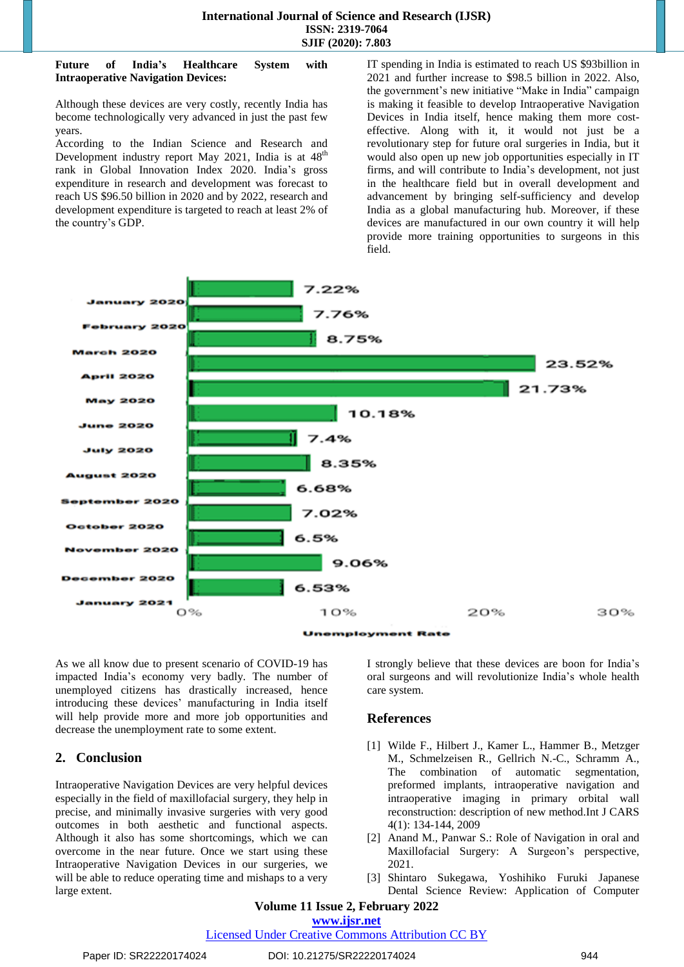#### **Future of India's Healthcare System with Intraoperative Navigation Devices:**

Although these devices are very costly, recently India has become technologically very advanced in just the past few years.

According to the Indian Science and Research and Development industry report May 2021, India is at  $48<sup>th</sup>$ rank in Global Innovation Index 2020. India's gross expenditure in research and development was forecast to reach US \$96.50 billion in 2020 and by 2022, research and development expenditure is targeted to reach at least 2% of the country's GDP.

IT spending in India is estimated to reach US \$93billion in 2021 and further increase to \$98.5 billion in 2022. Also, the government's new initiative "Make in India" campaign is making it feasible to develop Intraoperative Navigation Devices in India itself, hence making them more costeffective. Along with it, it would not just be a revolutionary step for future oral surgeries in India, but it would also open up new job opportunities especially in IT firms, and will contribute to India's development, not just in the healthcare field but in overall development and advancement by bringing self-sufficiency and develop India as a global manufacturing hub. Moreover, if these devices are manufactured in our own country it will help provide more training opportunities to surgeons in this field.



**Unemployment Rate** 

As we all know due to present scenario of COVID-19 has impacted India's economy very badly. The number of unemployed citizens has drastically increased, hence introducing these devices' manufacturing in India itself will help provide more and more job opportunities and decrease the unemployment rate to some extent.

## **2. Conclusion**

Intraoperative Navigation Devices are very helpful devices especially in the field of maxillofacial surgery, they help in precise, and minimally invasive surgeries with very good outcomes in both aesthetic and functional aspects. Although it also has some shortcomings, which we can overcome in the near future. Once we start using these Intraoperative Navigation Devices in our surgeries, we will be able to reduce operating time and mishaps to a very large extent.

I strongly believe that these devices are boon for India's oral surgeons and will revolutionize India's whole health care system.

## **References**

- [1] Wilde F., Hilbert J., Kamer L., Hammer B., Metzger M., Schmelzeisen R., Gellrich N.-C., Schramm A., The combination of automatic segmentation, preformed implants, intraoperative navigation and intraoperative imaging in primary orbital wall reconstruction: description of new method.Int J CARS 4(1): 134-144, 2009
- [2] Anand M., Panwar S.: Role of Navigation in oral and Maxillofacial Surgery: A Surgeon's perspective, 2021.
- [3] Shintaro Sukegawa, Yoshihiko Furuki Japanese Dental Science Review: Application of Computer

## **Volume 11 Issue 2, February 2022**

## **www.ijsr.net**

Licensed Under Creative Commons Attribution CC BY